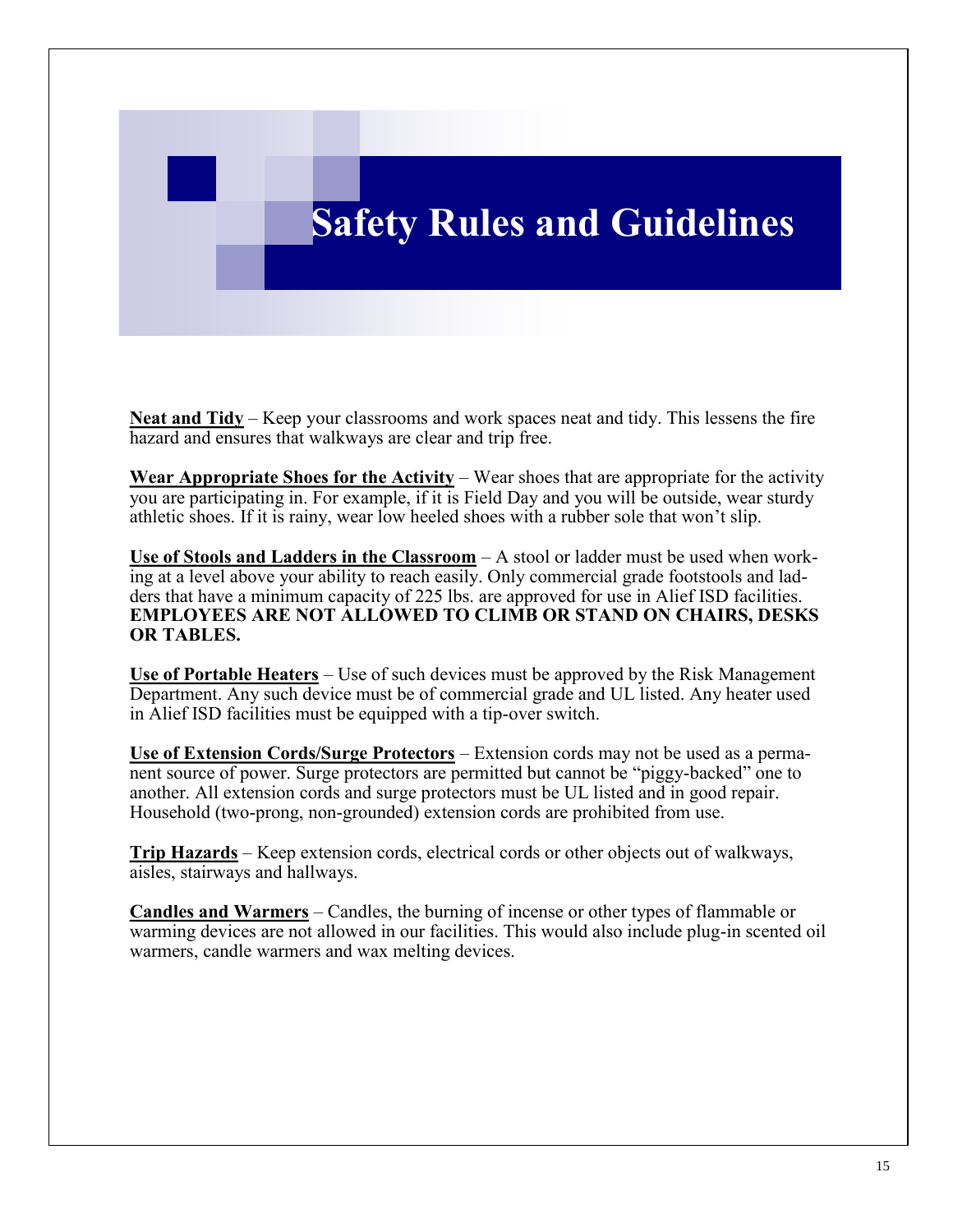## **Safety Rules and Guidelines**

**Neat and Tidy** – Keep your classrooms and work spaces neat and tidy. This lessens the fire hazard and ensures that walkways are clear and trip free.

**Wear Appropriate Shoes for the Activity** – Wear shoes that are appropriate for the activity you are participating in. For example, if it is Field Day and you will be outside, wear sturdy athletic shoes. If it is rainy, wear low heeled shoes with a rubber sole that won't slip.

**Use of Stools and Ladders in the Classroom** – A stool or ladder must be used when working at a level above your ability to reach easily. Only commercial grade footstools and ladders that have a minimum capacity of 225 lbs. are approved for use in Alief ISD facilities. **EMPLOYEES ARE NOT ALLOWED TO CLIMB OR STAND ON CHAIRS, DESKS OR TABLES.**

**Use of Portable Heaters** – Use of such devices must be approved by the Risk Management Department. Any such device must be of commercial grade and UL listed. Any heater used in Alief ISD facilities must be equipped with a tip-over switch.

**Use of Extension Cords/Surge Protectors** – Extension cords may not be used as a permanent source of power. Surge protectors are permitted but cannot be "piggy-backed" one to another. All extension cords and surge protectors must be UL listed and in good repair. Household (two-prong, non-grounded) extension cords are prohibited from use.

**Trip Hazards** – Keep extension cords, electrical cords or other objects out of walkways, aisles, stairways and hallways.

**Candles and Warmers** – Candles, the burning of incense or other types of flammable or warming devices are not allowed in our facilities. This would also include plug-in scented oil warmers, candle warmers and wax melting devices.